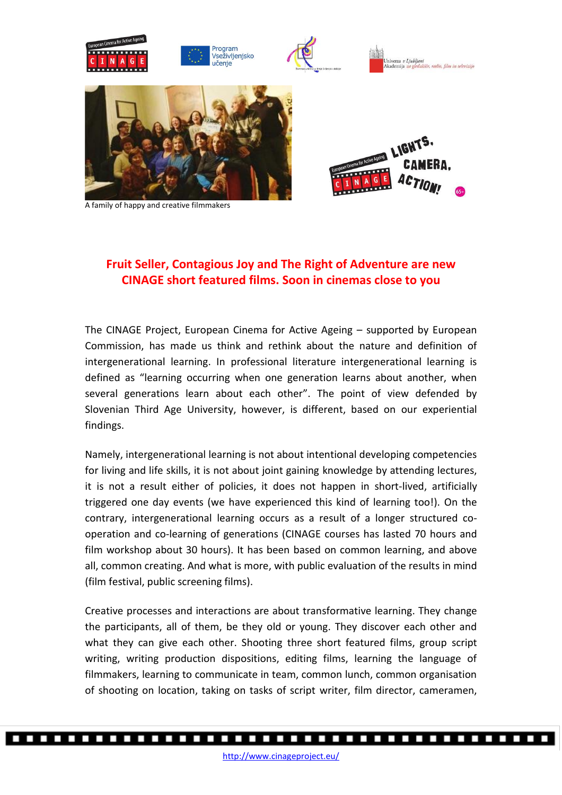

A family of happy and creative filmmakers

## **Fruit Seller, Contagious Joy and The Right of Adventure are new CINAGE short featured films. Soon in cinemas close to you**

The CINAGE Project, European Cinema for Active Ageing – supported by European Commission, has made us think and rethink about the nature and definition of intergenerational learning. In professional literature intergenerational learning is defined as "learning occurring when one generation learns about another, when several generations learn about each other". The point of view defended by Slovenian Third Age University, however, is different, based on our experiential findings.

Namely, intergenerational learning is not about intentional developing competencies for living and life skills, it is not about joint gaining knowledge by attending lectures, it is not a result either of policies, it does not happen in short-lived, artificially triggered one day events (we have experienced this kind of learning too!). On the contrary, intergenerational learning occurs as a result of a longer structured cooperation and co-learning of generations (CINAGE courses has lasted 70 hours and film workshop about 30 hours). It has been based on common learning, and above all, common creating. And what is more, with public evaluation of the results in mind (film festival, public screening films).

Creative processes and interactions are about transformative learning. They change the participants, all of them, be they old or young. They discover each other and what they can give each other. Shooting three short featured films, group script writing, writing production dispositions, editing films, learning the language of filmmakers, learning to communicate in team, common lunch, common organisation of shooting on location, taking on tasks of script writer, film director, cameramen,